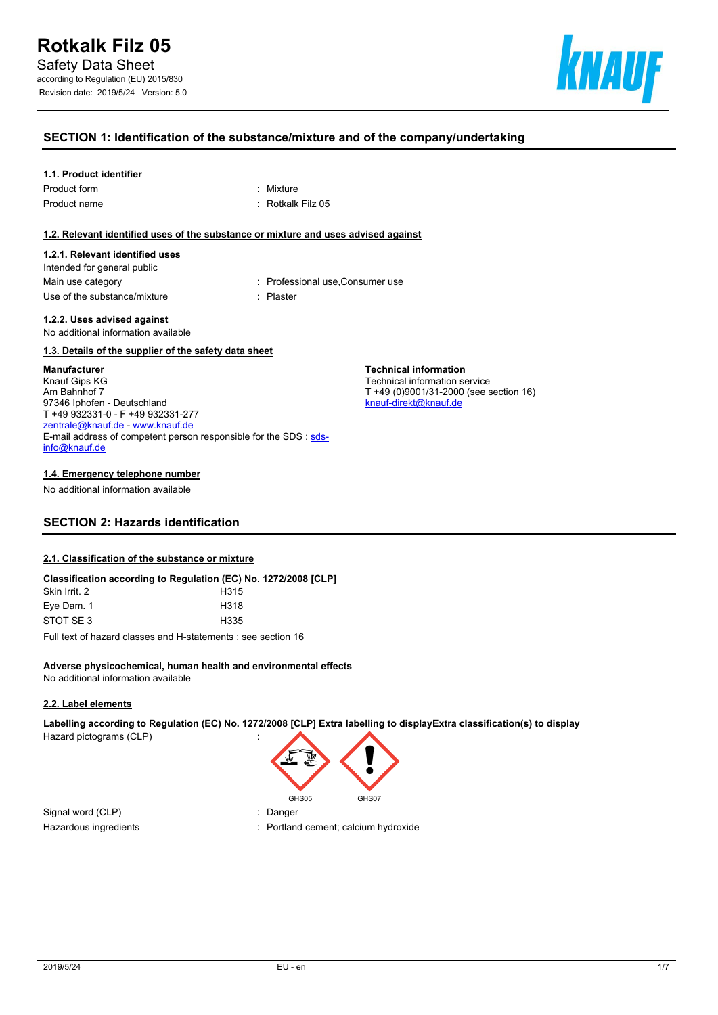

#### **SECTION 1: Identification of the substance/mixture and of the company/undertaking**

#### **1.1. Product identifier**

| Product form |  |
|--------------|--|
| Product name |  |

: Mixture : Rotkalk Filz 05

#### **1.2. Relevant identified uses of the substance or mixture and uses advised against**

#### **1.2.1. Relevant identified uses**

Intended for general public Main use category **interest and the Consumer Consumer use** : Professional use, Consumer use Use of the substance/mixture in the substance in the set of the substance of the substance in the set of the s

**Technical information** Technical information service

[knauf-direkt@knauf.de](mailto:knauf-direkt@knauf.de)

T +49 (0)9001/31-2000 (see section 16)

**1.2.2. Uses advised against** No additional information available

#### **1.3. Details of the supplier of the safety data sheet**

#### **Manufacturer**

Knauf Gips KG Am Bahnhof 7 97346 Iphofen - Deutschland T +49 932331-0 - F +49 932331-277 [zentrale@knauf.de](mailto:zentrale@knauf.de) - <www.knauf.de> E-mail address of competent person responsible for the SDS : [sds](mailto:sds-info@knauf.de)[info@knauf.de](mailto:sds-info@knauf.de)

#### **1.4. Emergency telephone number**

No additional information available

## **SECTION 2: Hazards identification**

#### **2.1. Classification of the substance or mixture**

|               | Classification according to Regulation (EC) No. 1272/2008 [CLP] |
|---------------|-----------------------------------------------------------------|
| Skin Irrit. 2 | H <sub>315</sub>                                                |
| Eye Dam. 1    | H318                                                            |
| STOT SE3      | H335                                                            |
|               | Full took of begand electric and Historically case as office 40 |

Full text of hazard classes and H-statements : see section 16

#### **Adverse physicochemical, human health and environmental effects** No additional information available

#### **2.2. Label elements**

**Labelling according to Regulation (EC) No. 1272/2008 [CLP] Extra labelling to displayExtra classification(s) to display** Hazard pictograms (CLP) :



Signal word (CLP) : Danger

Hazardous ingredients in the state of the control of the Portland cement; calcium hydroxide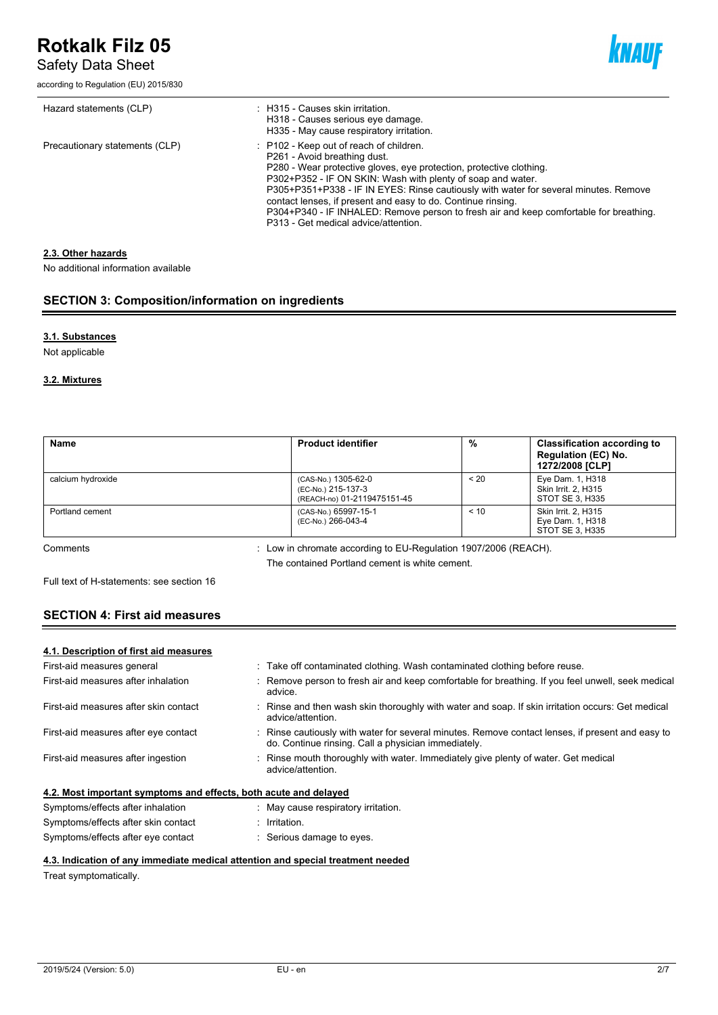Safety Data Sheet

according to Regulation (EU) 2015/830



| Hazard statements (CLP)        | : H315 - Causes skin irritation.<br>H318 - Causes serious eye damage.<br>H335 - May cause respiratory irritation.                                                                                                                                                                                                                                                                                                                                                                                       |
|--------------------------------|---------------------------------------------------------------------------------------------------------------------------------------------------------------------------------------------------------------------------------------------------------------------------------------------------------------------------------------------------------------------------------------------------------------------------------------------------------------------------------------------------------|
| Precautionary statements (CLP) | : P102 - Keep out of reach of children.<br>P261 - Avoid breathing dust.<br>P280 - Wear protective gloves, eye protection, protective clothing.<br>P302+P352 - IF ON SKIN: Wash with plenty of soap and water.<br>P305+P351+P338 - IF IN EYES: Rinse cautiously with water for several minutes. Remove<br>contact lenses, if present and easy to do. Continue rinsing.<br>P304+P340 - IF INHALED: Remove person to fresh air and keep comfortable for breathing.<br>P313 - Get medical advice/attention. |

#### **2.3. Other hazards**

No additional information available

#### **SECTION 3: Composition/information on ingredients**

#### **3.1. Substances**

Not applicable

#### **3.2. Mixtures**

| Name              | <b>Product identifier</b>                                                | %       | <b>Classification according to</b><br><b>Regulation (EC) No.</b><br>1272/2008 [CLP] |
|-------------------|--------------------------------------------------------------------------|---------|-------------------------------------------------------------------------------------|
| calcium hydroxide | (CAS-No.) 1305-62-0<br>(EC-No.) 215-137-3<br>(REACH-no) 01-2119475151-45 | $~<$ 20 | Eye Dam. 1, H318<br>Skin Irrit. 2, H315<br>STOT SE 3. H335                          |
| Portland cement   | (CAS-No.) 65997-15-1<br>(EC-No.) 266-043-4                               | < 10    | <b>Skin Irrit. 2. H315</b><br>Eye Dam. 1, H318<br>STOT SE 3. H335                   |

Comments : Low in chromate according to EU-Regulation 1907/2006 (REACH). The contained Portland cement is white cement.

Full text of H-statements: see section 16

## **SECTION 4: First aid measures**

#### **4.1. Description of first aid measures**

| First-aid measures general                                       | : Take off contaminated clothing. Wash contaminated clothing before reuse.                                                                            |
|------------------------------------------------------------------|-------------------------------------------------------------------------------------------------------------------------------------------------------|
| First-aid measures after inhalation                              | Remove person to fresh air and keep comfortable for breathing. If you feel unwell, seek medical<br>advice.                                            |
| First-aid measures after skin contact                            | : Rinse and then wash skin thoroughly with water and soap. If skin irritation occurs: Get medical<br>advice/attention.                                |
| First-aid measures after eye contact                             | Rinse cautiously with water for several minutes. Remove contact lenses, if present and easy to<br>do. Continue rinsing. Call a physician immediately. |
| First-aid measures after ingestion                               | : Rinse mouth thoroughly with water. Immediately give plenty of water. Get medical<br>advice/attention.                                               |
| 4.2. Most important symptoms and effects, both acute and delayed |                                                                                                                                                       |
| Symptoms/effects after inhalation                                | May cause respiratory irritation.                                                                                                                     |
| Symptoms/effects after skin contact                              | Irritation.                                                                                                                                           |

### Symptoms/effects after eye contact : Serious damage to eyes.

#### **4.3. Indication of any immediate medical attention and special treatment needed**

Treat symptomatically.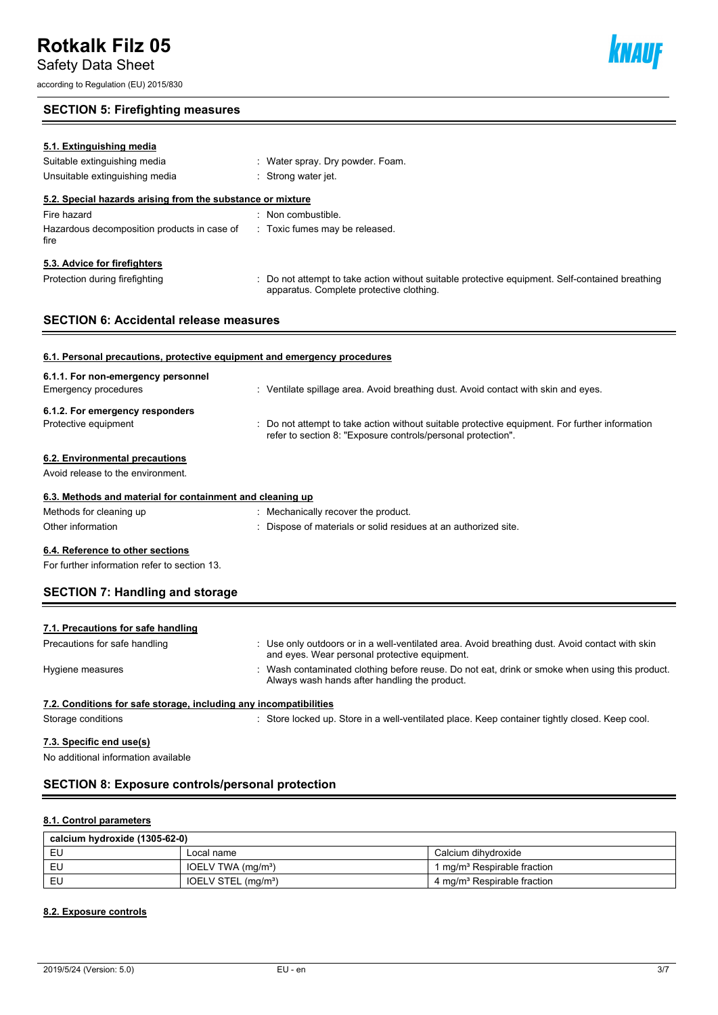Safety Data Sheet

according to Regulation (EU) 2015/830

## **SECTION 5: Firefighting measures**

| 5.1. Extinguishing media                                                 |                                                                                                                                           |
|--------------------------------------------------------------------------|-------------------------------------------------------------------------------------------------------------------------------------------|
| Suitable extinguishing media                                             | : Water spray. Dry powder. Foam.                                                                                                          |
| Unsuitable extinguishing media                                           | : Strong water jet.                                                                                                                       |
| 5.2. Special hazards arising from the substance or mixture               |                                                                                                                                           |
| Fire hazard                                                              | : Non combustible.                                                                                                                        |
| Hazardous decomposition products in case of<br>fire                      | : Toxic fumes may be released.                                                                                                            |
| 5.3. Advice for firefighters                                             |                                                                                                                                           |
| Protection during firefighting                                           | Do not attempt to take action without suitable protective equipment. Self-contained breathing<br>apparatus. Complete protective clothing. |
| <b>SECTION 6: Accidental release measures</b>                            |                                                                                                                                           |
|                                                                          |                                                                                                                                           |
| 6.1. Personal precautions, protective equipment and emergency procedures |                                                                                                                                           |
| 6.1.1. For non-emergency personnel                                       |                                                                                                                                           |

| Emergency procedures              | : Ventilate spillage area. Avoid breathing dust. Avoid contact with skin and eyes.                                                                             |
|-----------------------------------|----------------------------------------------------------------------------------------------------------------------------------------------------------------|
| 6.1.2. For emergency responders   |                                                                                                                                                                |
| Protective equipment              | : Do not attempt to take action without suitable protective equipment. For further information<br>refer to section 8: "Exposure controls/personal protection". |
| 6.2. Environmental precautions    |                                                                                                                                                                |
| Avoid release to the environment. |                                                                                                                                                                |

## **6.3. Methods and material for containment and cleaning up**

| Methods for cleaning up | : Mechanically recover the product.                             |
|-------------------------|-----------------------------------------------------------------|
| Other information       | : Dispose of materials or solid residues at an authorized site. |
|                         |                                                                 |

## **6.4. Reference to other sections**

For further information refer to section 13.

## **SECTION 7: Handling and storage**

| 7.1. Precautions for safe handling                                |                                                                                                                                                  |
|-------------------------------------------------------------------|--------------------------------------------------------------------------------------------------------------------------------------------------|
| Precautions for safe handling                                     | : Use only outdoors or in a well-ventilated area. Avoid breathing dust. Avoid contact with skin<br>and eyes. Wear personal protective equipment. |
| Hygiene measures                                                  | : Wash contaminated clothing before reuse. Do not eat, drink or smoke when using this product.<br>Always wash hands after handling the product.  |
| 7.2. Conditions for safe storage, including any incompatibilities |                                                                                                                                                  |
| Storage conditions                                                | : Store locked up. Store in a well-ventilated place. Keep container tightly closed. Keep cool.                                                   |

### **7.3. Specific end use(s)**

No additional information available

### **SECTION 8: Exposure controls/personal protection**

#### **8.1. Control parameters**

| calcium hydroxide (1305-62-0) |                                 |                                         |  |  |
|-------------------------------|---------------------------------|-----------------------------------------|--|--|
| EU                            | Local name                      | Calcium dihvdroxide                     |  |  |
| EU                            | IOELV TWA (mg/m <sup>3</sup> )  | 1 mg/m <sup>3</sup> Respirable fraction |  |  |
| EU                            | IOELV STEL (mg/m <sup>3</sup> ) | 4 mg/m <sup>3</sup> Respirable fraction |  |  |

#### **8.2. Exposure controls**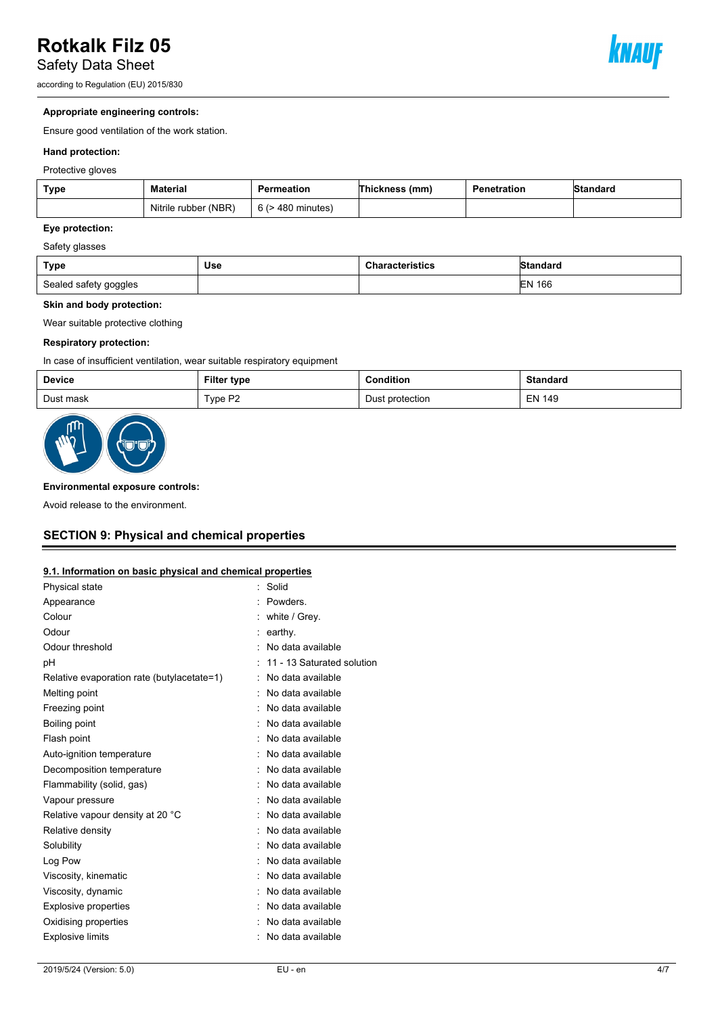Safety Data Sheet

according to Regulation (EU) 2015/830



#### **Appropriate engineering controls:**

Ensure good ventilation of the work station.

#### **Hand protection:**

Protective gloves

| <b>Type</b> | <b>Material</b>      | Permeation             | <b>Thickness</b> (mm) | Penetration | Standard |
|-------------|----------------------|------------------------|-----------------------|-------------|----------|
|             | Nitrile rubber (NBR) | $6$ ( $>$ 480 minutes) |                       |             |          |

#### **Eye protection:**

#### Safety glasses

| <b>Type</b>           | Use | <b>Characteristics</b> | <b>Standard</b> |
|-----------------------|-----|------------------------|-----------------|
| Sealed safety goggles |     |                        | 166<br>IΕN      |

#### **Skin and body protection:**

Wear suitable protective clothing

#### **Respiratory protection:**

In case of insufficient ventilation, wear suitable respiratory equipment

| <b>Device</b> | <b>Filter type</b> | Condition<br>.       | <b>Standard</b> |
|---------------|--------------------|----------------------|-----------------|
| Dust mask     | Type P2            | : protection<br>Dust | <b>EN 149</b>   |



#### **Environmental exposure controls:**

Avoid release to the environment.

## **SECTION 9: Physical and chemical properties**

#### **9.1. Information on basic physical and chemical properties**

| Physical state                             | Solid                      |
|--------------------------------------------|----------------------------|
| Appearance                                 | <b>Powders</b>             |
| Colour                                     | white / Grey.              |
| Odour                                      | earthy.                    |
| Odour threshold                            | No data available          |
| рH                                         | 11 - 13 Saturated solution |
| Relative evaporation rate (butylacetate=1) | No data available          |
| Melting point                              | No data available          |
| Freezing point                             | No data available          |
| <b>Boiling point</b>                       | No data available          |
| Flash point                                | : No data available        |
| Auto-ignition temperature                  | No data available          |
| Decomposition temperature                  | No data available          |
| Flammability (solid, gas)                  | No data available          |
| Vapour pressure                            | No data available          |
| Relative vapour density at 20 °C           | No data available          |
| Relative density                           | No data available          |
| Solubility                                 | No data available          |
| Log Pow                                    | No data available          |
| Viscosity, kinematic                       | No data available          |
| Viscosity, dynamic                         | No data available          |
| <b>Explosive properties</b>                | No data available          |
| Oxidising properties                       | No data available          |
| <b>Explosive limits</b>                    | No data available          |
|                                            |                            |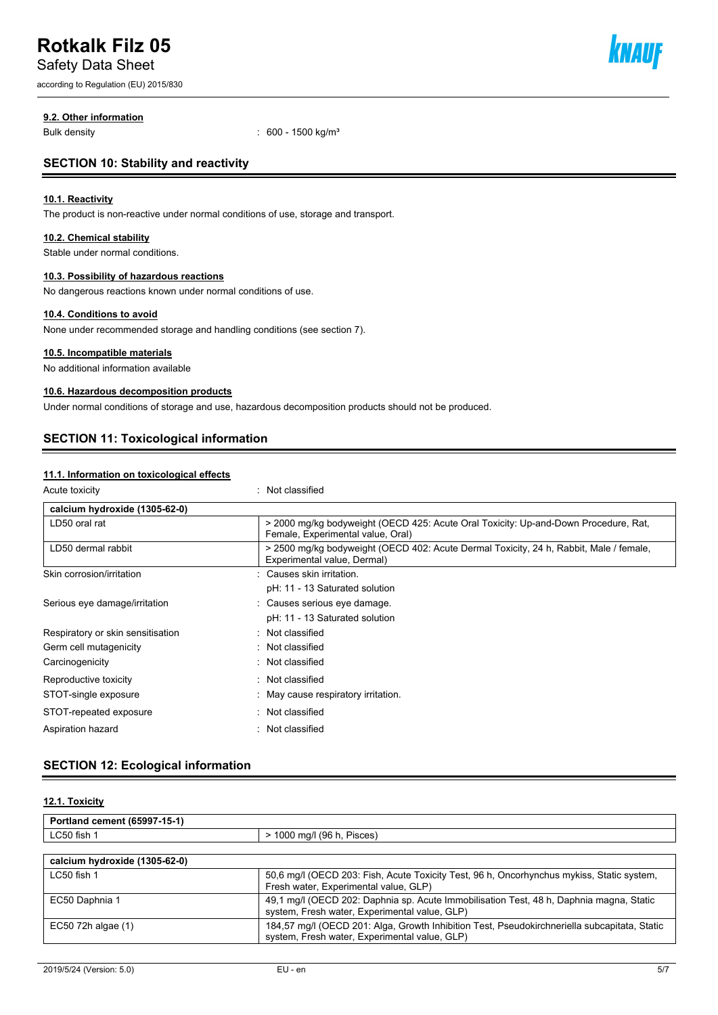Safety Data Sheet

according to Regulation (EU) 2015/830



#### **9.2. Other information**

Bulk density : 600 - 1500 kg/m<sup>3</sup>

### **SECTION 10: Stability and reactivity**

#### **10.1. Reactivity**

The product is non-reactive under normal conditions of use, storage and transport.

#### **10.2. Chemical stability**

Stable under normal conditions.

#### **10.3. Possibility of hazardous reactions**

No dangerous reactions known under normal conditions of use.

#### **10.4. Conditions to avoid**

None under recommended storage and handling conditions (see section 7).

#### **10.5. Incompatible materials**

No additional information available

#### **10.6. Hazardous decomposition products**

Under normal conditions of storage and use, hazardous decomposition products should not be produced.

### **SECTION 11: Toxicological information**

#### **11.1. Information on toxicological effects**

| Acute toxicity |  |
|----------------|--|
|                |  |

: Not classified

| calcium hydroxide (1305-62-0)     |                                                                                                                          |
|-----------------------------------|--------------------------------------------------------------------------------------------------------------------------|
| LD50 oral rat                     | > 2000 mg/kg bodyweight (OECD 425: Acute Oral Toxicity: Up-and-Down Procedure, Rat,<br>Female, Experimental value, Oral) |
| LD50 dermal rabbit                | > 2500 mg/kg bodyweight (OECD 402: Acute Dermal Toxicity, 24 h, Rabbit, Male / female,<br>Experimental value, Dermal)    |
| Skin corrosion/irritation         | : Causes skin irritation.                                                                                                |
|                                   | pH: 11 - 13 Saturated solution                                                                                           |
| Serious eye damage/irritation     | : Causes serious eye damage.                                                                                             |
|                                   | pH: 11 - 13 Saturated solution                                                                                           |
| Respiratory or skin sensitisation | $\therefore$ Not classified                                                                                              |
| Germ cell mutagenicity            | $\therefore$ Not classified                                                                                              |
| Carcinogenicity                   | Not classified                                                                                                           |
| Reproductive toxicity             | : Not classified                                                                                                         |
| STOT-single exposure              | May cause respiratory irritation.                                                                                        |
| STOT-repeated exposure            | : Not classified                                                                                                         |
| Aspiration hazard                 | Not classified                                                                                                           |

## **SECTION 12: Ecological information**

#### **12.1. Toxicity**

| Portland cement (65997-15-1) |                                                                |
|------------------------------|----------------------------------------------------------------|
| LC50 fish                    | $- \cdot$<br>10C<br>.000<br>Pisces <sup>'</sup><br>ma/l<br>ເວບ |
|                              |                                                                |

| calcium hydroxide (1305-62-0) |                                                                                                                                               |
|-------------------------------|-----------------------------------------------------------------------------------------------------------------------------------------------|
| LC50 fish 1                   | 50,6 mg/l (OECD 203: Fish, Acute Toxicity Test, 96 h, Oncorhynchus mykiss, Static system,<br>Fresh water, Experimental value, GLP)            |
| EC50 Daphnia 1                | 49.1 mg/l (OECD 202: Daphnia sp. Acute Immobilisation Test, 48 h, Daphnia magna, Static<br>system, Fresh water, Experimental value, GLP)      |
| $EC50$ 72h algae $(1)$        | 184,57 mg/l (OECD 201: Alga, Growth Inhibition Test, Pseudokirchneriella subcapitata, Static<br>system, Fresh water, Experimental value, GLP) |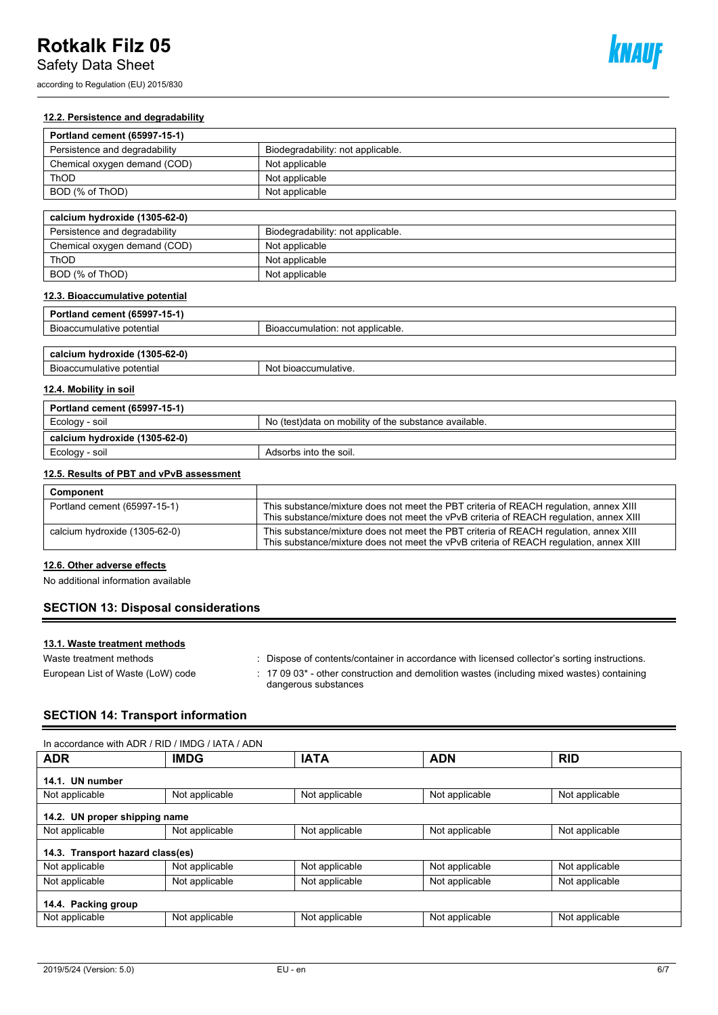Safety Data Sheet

according to Regulation (EU) 2015/830



#### **12.2. Persistence and degradability**

| Portland cement (65997-15-1)  |                                   |
|-------------------------------|-----------------------------------|
| Persistence and degradability | Biodegradability: not applicable. |
| Chemical oxygen demand (COD)  | Not applicable                    |
| ThOD                          | Not applicable                    |
| BOD (% of ThOD)               | Not applicable                    |
|                               |                                   |

| calcium hydroxide (1305-62-0) |                                   |
|-------------------------------|-----------------------------------|
| Persistence and degradability | Biodegradability: not applicable. |
| Chemical oxygen demand (COD)  | Not applicable                    |
| ThOD                          | Not applicable                    |
| BOD (% of ThOD)               | Not applicable                    |

### **12.3. Bioaccumulative potential**

| Portland cement (65997-15-1)  |                                  |
|-------------------------------|----------------------------------|
| Bioaccumulative potential     | Bioaccumulation: not applicable. |
|                               |                                  |
| calcium hydroxide (1305-62-0) |                                  |
| Bioaccumulative potential     | Not bioaccumulative.             |

#### **12.4. Mobility in soil**

| Portland cement (65997-15-1)  |                                                        |
|-------------------------------|--------------------------------------------------------|
| Ecology - soil                | No (test) data on mobility of the substance available. |
| calcium hydroxide (1305-62-0) |                                                        |
| Ecology - soil                | Adsorbs into the soil.                                 |

#### **12.5. Results of PBT and vPvB assessment**

| Component                     |                                                                                                                                                                                 |
|-------------------------------|---------------------------------------------------------------------------------------------------------------------------------------------------------------------------------|
| Portland cement (65997-15-1)  | This substance/mixture does not meet the PBT criteria of REACH regulation, annex XIII<br>This substance/mixture does not meet the vPvB criteria of REACH regulation, annex XIII |
| calcium hydroxide (1305-62-0) | This substance/mixture does not meet the PBT criteria of REACH regulation, annex XIII<br>This substance/mixture does not meet the vPvB criteria of REACH regulation, annex XIII |

#### **12.6. Other adverse effects**

No additional information available

## **SECTION 13: Disposal considerations**

#### **13.1. Waste treatment methods**

| Waste treatment methods           | Dispose of contents/container in accordance with licensed collector's sorting instructions.                                        |
|-----------------------------------|------------------------------------------------------------------------------------------------------------------------------------|
| European List of Waste (LoW) code | $\pm$ 17 09 03 <sup>*</sup> - other construction and demolition wastes (including mixed wastes) containing<br>dangerous substances |

## **SECTION 14: Transport information**

| In accordance with ADR / RID / IMDG / IATA / ADN |                |                |                |                |  |
|--------------------------------------------------|----------------|----------------|----------------|----------------|--|
| <b>ADR</b>                                       | <b>IMDG</b>    | <b>IATA</b>    | <b>ADN</b>     | <b>RID</b>     |  |
| 14.1. UN number                                  |                |                |                |                |  |
| Not applicable                                   | Not applicable | Not applicable | Not applicable | Not applicable |  |
| 14.2. UN proper shipping name                    |                |                |                |                |  |
| Not applicable                                   | Not applicable | Not applicable | Not applicable | Not applicable |  |
| 14.3. Transport hazard class(es)                 |                |                |                |                |  |
| Not applicable                                   | Not applicable | Not applicable | Not applicable | Not applicable |  |
| Not applicable                                   | Not applicable | Not applicable | Not applicable | Not applicable |  |
| 14.4. Packing group                              |                |                |                |                |  |
| Not applicable                                   | Not applicable | Not applicable | Not applicable | Not applicable |  |
|                                                  |                |                |                |                |  |